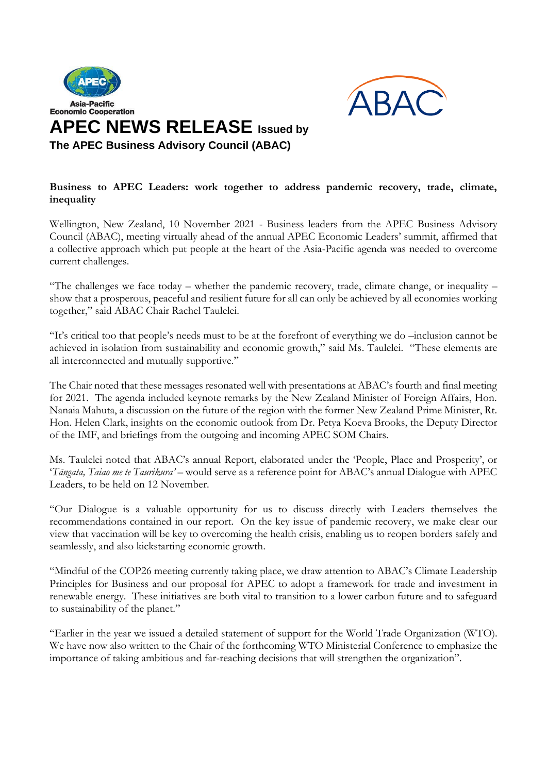



## **Business to APEC Leaders: work together to address pandemic recovery, trade, climate, inequality**

Wellington, New Zealand, 10 November 2021 - Business leaders from the APEC Business Advisory Council (ABAC), meeting virtually ahead of the annual APEC Economic Leaders' summit, affirmed that a collective approach which put people at the heart of the Asia-Pacific agenda was needed to overcome current challenges.

"The challenges we face today – whether the pandemic recovery, trade, climate change, or inequality – show that a prosperous, peaceful and resilient future for all can only be achieved by all economies working together," said ABAC Chair Rachel Taulelei.

"It's critical too that people's needs must to be at the forefront of everything we do –inclusion cannot be achieved in isolation from sustainability and economic growth," said Ms. Taulelei. "These elements are all interconnected and mutually supportive."

The Chair noted that these messages resonated well with presentations at ABAC's fourth and final meeting for 2021. The agenda included keynote remarks by the New Zealand Minister of Foreign Affairs, Hon. Nanaia Mahuta, a discussion on the future of the region with the former New Zealand Prime Minister, Rt. Hon. Helen Clark, insights on the economic outlook from Dr. Petya Koeva Brooks, the Deputy Director of the IMF, and briefings from the outgoing and incoming APEC SOM Chairs.

Ms. Taulelei noted that ABAC's annual Report, elaborated under the 'People, Place and Prosperity', or '*Tāngata, Taiao me te Taurikura' –* would serve as a reference point for ABAC's annual Dialogue with APEC Leaders, to be held on 12 November.

"Our Dialogue is a valuable opportunity for us to discuss directly with Leaders themselves the recommendations contained in our report. On the key issue of pandemic recovery, we make clear our view that vaccination will be key to overcoming the health crisis, enabling us to reopen borders safely and seamlessly, and also kickstarting economic growth.

"Mindful of the COP26 meeting currently taking place, we draw attention to ABAC's Climate Leadership Principles for Business and our proposal for APEC to adopt a framework for trade and investment in renewable energy. These initiatives are both vital to transition to a lower carbon future and to safeguard to sustainability of the planet."

"Earlier in the year we issued a detailed statement of support for the World Trade Organization (WTO). We have now also written to the Chair of the forthcoming WTO Ministerial Conference to emphasize the importance of taking ambitious and far-reaching decisions that will strengthen the organization".